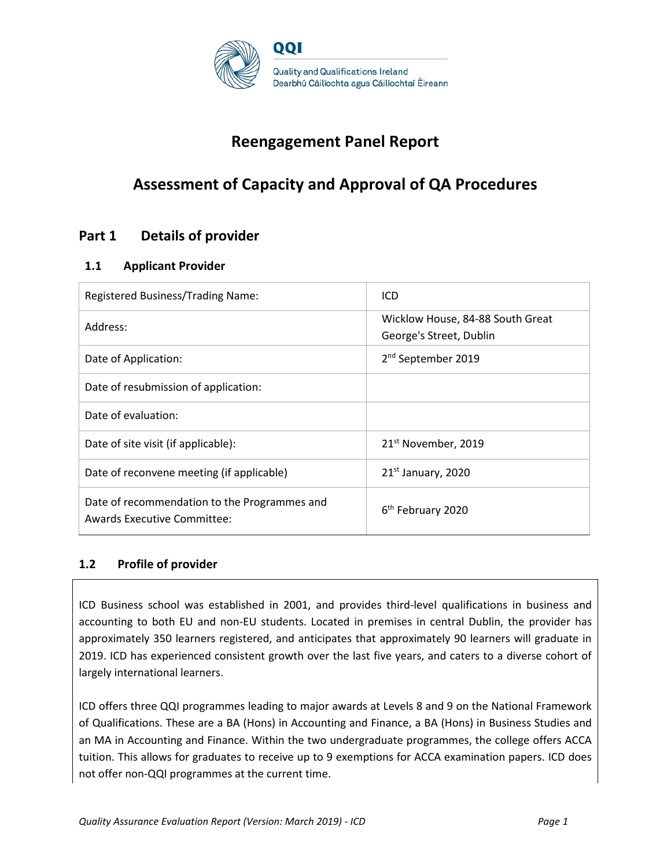

# **Reengagement Panel Report**

# **Assessment of Capacity and Approval of QA Procedures**

# **Part 1 Details of provider**

### **1.1 Applicant Provider**

| Registered Business/Trading Name:                                                  | ICD                                                         |
|------------------------------------------------------------------------------------|-------------------------------------------------------------|
| Address:                                                                           | Wicklow House, 84-88 South Great<br>George's Street, Dublin |
| Date of Application:                                                               | 2 <sup>nd</sup> September 2019                              |
| Date of resubmission of application:                                               |                                                             |
| Date of evaluation:                                                                |                                                             |
| Date of site visit (if applicable):                                                | 21 <sup>st</sup> November, 2019                             |
| Date of reconvene meeting (if applicable)                                          | $21st$ January, 2020                                        |
| Date of recommendation to the Programmes and<br><b>Awards Executive Committee:</b> | 6 <sup>th</sup> February 2020                               |

### **1.2 Profile of provider**

ICD Business school was established in 2001, and provides third-level qualifications in business and accounting to both EU and non-EU students. Located in premises in central Dublin, the provider has approximately 350 learners registered, and anticipates that approximately 90 learners will graduate in 2019. ICD has experienced consistent growth over the last five years, and caters to a diverse cohort of largely international learners.

ICD offers three QQI programmes leading to major awards at Levels 8 and 9 on the National Framework of Qualifications. These are a BA (Hons) in Accounting and Finance, a BA (Hons) in Business Studies and an MA in Accounting and Finance. Within the two undergraduate programmes, the college offers ACCA tuition. This allows for graduates to receive up to 9 exemptions for ACCA examination papers. ICD does not offer non-QQI programmes at the current time.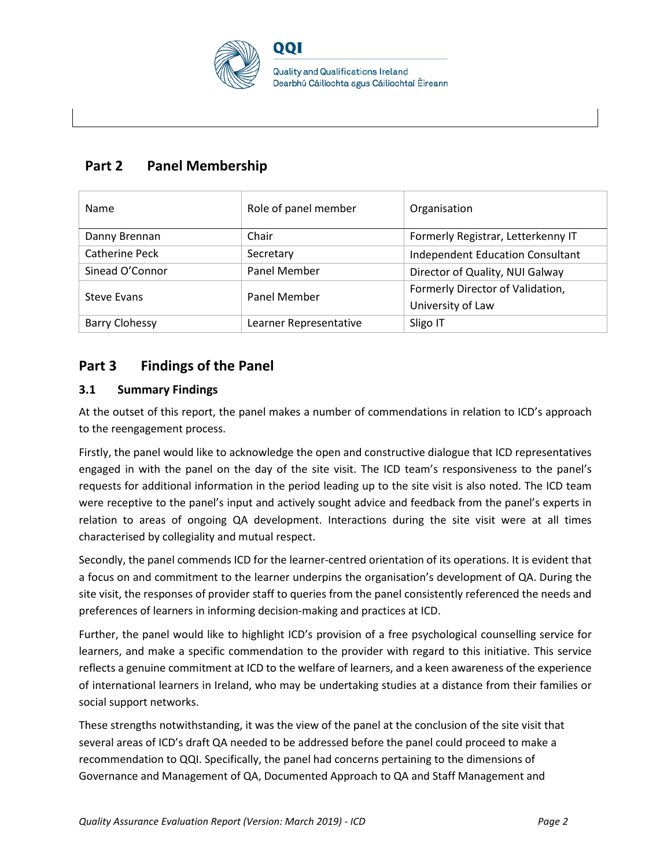

# **Part 2 Panel Membership**

| Name                  | Role of panel member   | Organisation                            |
|-----------------------|------------------------|-----------------------------------------|
| Danny Brennan         | Chair                  | Formerly Registrar, Letterkenny IT      |
| <b>Catherine Peck</b> | Secretary              | <b>Independent Education Consultant</b> |
| Sinead O'Connor       | Panel Member           | Director of Quality, NUI Galway         |
| Steve Evans           | <b>Panel Member</b>    | Formerly Director of Validation,        |
|                       |                        | University of Law                       |
| <b>Barry Clohessy</b> | Learner Representative | Sligo IT                                |

# **Part 3 Findings of the Panel**

### **3.1 Summary Findings**

At the outset of this report, the panel makes a number of commendations in relation to ICD's approach to the reengagement process.

Firstly, the panel would like to acknowledge the open and constructive dialogue that ICD representatives engaged in with the panel on the day of the site visit. The ICD team's responsiveness to the panel's requests for additional information in the period leading up to the site visit is also noted. The ICD team were receptive to the panel's input and actively sought advice and feedback from the panel's experts in relation to areas of ongoing QA development. Interactions during the site visit were at all times characterised by collegiality and mutual respect.

Secondly, the panel commends ICD for the learner-centred orientation of its operations. It is evident that a focus on and commitment to the learner underpins the organisation's development of QA. During the site visit, the responses of provider staff to queries from the panel consistently referenced the needs and preferences of learners in informing decision-making and practices at ICD.

Further, the panel would like to highlight ICD's provision of a free psychological counselling service for learners, and make a specific commendation to the provider with regard to this initiative. This service reflects a genuine commitment at ICD to the welfare of learners, and a keen awareness of the experience of international learners in Ireland, who may be undertaking studies at a distance from their families or social support networks.

These strengths notwithstanding, it was the view of the panel at the conclusion of the site visit that several areas of ICD's draft QA needed to be addressed before the panel could proceed to make a recommendation to QQI. Specifically, the panel had concerns pertaining to the dimensions of Governance and Management of QA, Documented Approach to QA and Staff Management and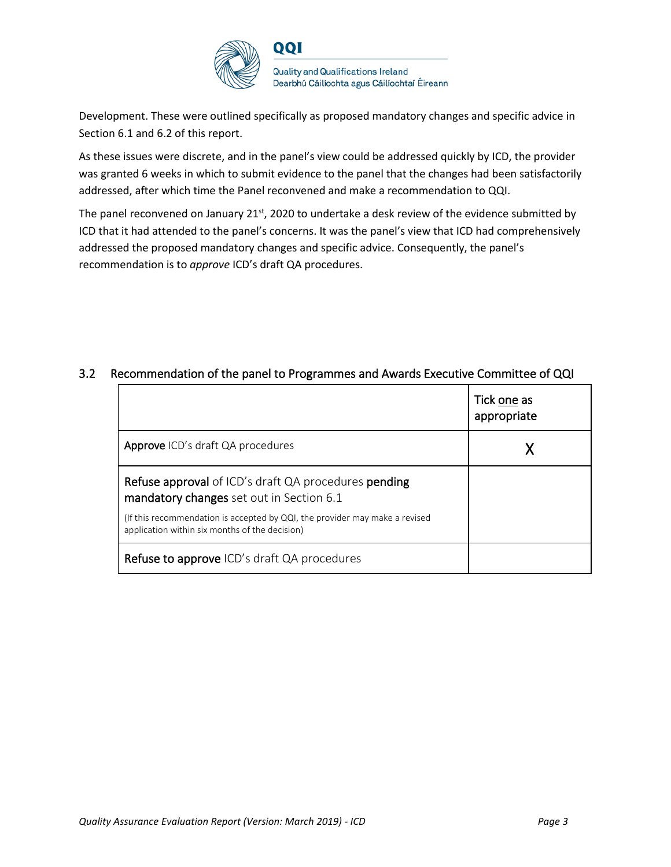

Development. These were outlined specifically as proposed mandatory changes and specific advice in Section 6.1 and 6.2 of this report.

As these issues were discrete, and in the panel's view could be addressed quickly by ICD, the provider was granted 6 weeks in which to submit evidence to the panel that the changes had been satisfactorily addressed, after which time the Panel reconvened and make a recommendation to QQI.

The panel reconvened on January  $21^{st}$ , 2020 to undertake a desk review of the evidence submitted by ICD that it had attended to the panel's concerns. It was the panel's view that ICD had comprehensively addressed the proposed mandatory changes and specific advice. Consequently, the panel's recommendation is to *approve* ICD's draft QA procedures.

|                                                                                                                               | Tick one as<br>appropriate |
|-------------------------------------------------------------------------------------------------------------------------------|----------------------------|
| Approve ICD's draft QA procedures                                                                                             |                            |
| <b>Refuse approval</b> of ICD's draft QA procedures <b>pending</b><br>mandatory changes set out in Section 6.1                |                            |
| (If this recommendation is accepted by QQI, the provider may make a revised<br>application within six months of the decision) |                            |
| <b>Refuse to approve</b> ICD's draft QA procedures                                                                            |                            |

### 3.2 Recommendation of the panel to Programmes and Awards Executive Committee of QQI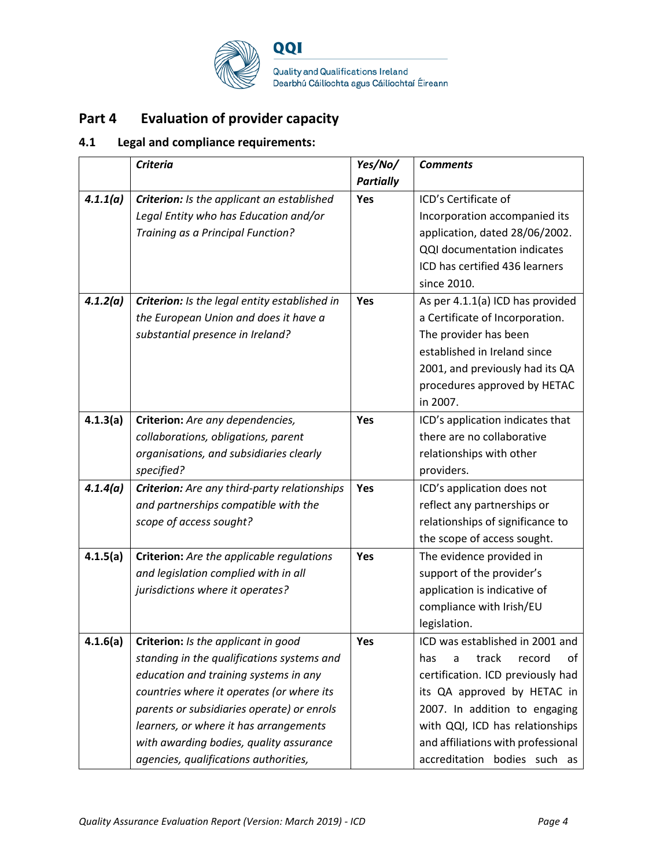

# **Part 4 Evaluation of provider capacity**

# **4.1 Legal and compliance requirements:**

|          | <b>Criteria</b>                                  | Yes/No/          | <b>Comments</b>                    |
|----------|--------------------------------------------------|------------------|------------------------------------|
|          |                                                  | <b>Partially</b> |                                    |
| 4.1.1(a) | Criterion: Is the applicant an established       | Yes              | ICD's Certificate of               |
|          | Legal Entity who has Education and/or            |                  | Incorporation accompanied its      |
|          | Training as a Principal Function?                |                  | application, dated 28/06/2002.     |
|          |                                                  |                  | QQI documentation indicates        |
|          |                                                  |                  | ICD has certified 436 learners     |
|          |                                                  |                  | since 2010.                        |
| 4.1.2(a) | Criterion: Is the legal entity established in    | Yes              | As per 4.1.1(a) ICD has provided   |
|          | the European Union and does it have a            |                  | a Certificate of Incorporation.    |
|          | substantial presence in Ireland?                 |                  | The provider has been              |
|          |                                                  |                  | established in Ireland since       |
|          |                                                  |                  | 2001, and previously had its QA    |
|          |                                                  |                  | procedures approved by HETAC       |
|          |                                                  |                  | in 2007.                           |
| 4.1.3(a) | Criterion: Are any dependencies,                 | Yes              | ICD's application indicates that   |
|          | collaborations, obligations, parent              |                  | there are no collaborative         |
|          | organisations, and subsidiaries clearly          |                  | relationships with other           |
|          | specified?                                       |                  | providers.                         |
| 4.1.4(a) | Criterion: Are any third-party relationships     | Yes              | ICD's application does not         |
|          | and partnerships compatible with the             |                  | reflect any partnerships or        |
|          | scope of access sought?                          |                  | relationships of significance to   |
|          |                                                  |                  | the scope of access sought.        |
| 4.1.5(a) | <b>Criterion:</b> Are the applicable regulations | Yes              | The evidence provided in           |
|          | and legislation complied with in all             |                  | support of the provider's          |
|          | jurisdictions where it operates?                 |                  | application is indicative of       |
|          |                                                  |                  | compliance with Irish/EU           |
|          |                                                  |                  | legislation.                       |
| 4.1.6(a) | Criterion: Is the applicant in good              | Yes              | ICD was established in 2001 and    |
|          | standing in the qualifications systems and       |                  | track<br>has<br>record<br>оf<br>a  |
|          | education and training systems in any            |                  | certification. ICD previously had  |
|          | countries where it operates (or where its        |                  | its QA approved by HETAC in        |
|          | parents or subsidiaries operate) or enrols       |                  | 2007. In addition to engaging      |
|          | learners, or where it has arrangements           |                  | with QQI, ICD has relationships    |
|          | with awarding bodies, quality assurance          |                  | and affiliations with professional |
|          | agencies, qualifications authorities,            |                  | accreditation bodies such as       |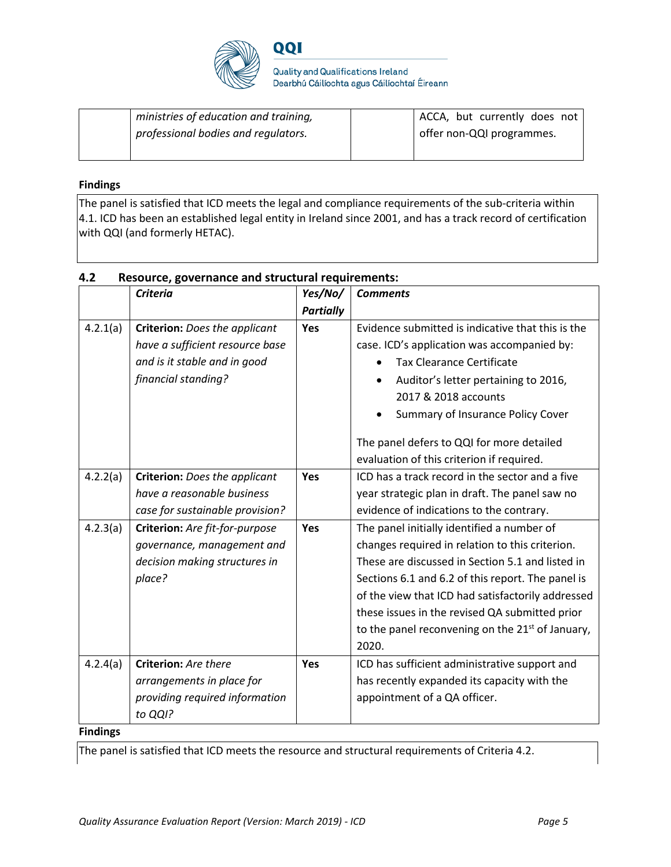

| ministries of education and training, | ACCA, but currently does not |
|---------------------------------------|------------------------------|
| professional bodies and regulators.   | offer non-QQI programmes.    |
|                                       |                              |

#### **Findings**

The panel is satisfied that ICD meets the legal and compliance requirements of the sub-criteria within 4.1. ICD has been an established legal entity in Ireland since 2001, and has a track record of certification with QQI (and formerly HETAC).

|           | <b>Criteria</b>                      | Yes/No/          | <b>Comments</b>                                    |
|-----------|--------------------------------------|------------------|----------------------------------------------------|
|           |                                      | <b>Partially</b> |                                                    |
| 4.2.1(a)  | <b>Criterion:</b> Does the applicant | Yes              | Evidence submitted is indicative that this is the  |
|           | have a sufficient resource base      |                  | case. ICD's application was accompanied by:        |
|           | and is it stable and in good         |                  | <b>Tax Clearance Certificate</b>                   |
|           | financial standing?                  |                  | Auditor's letter pertaining to 2016,<br>$\bullet$  |
|           |                                      |                  | 2017 & 2018 accounts                               |
|           |                                      |                  | Summary of Insurance Policy Cover                  |
|           |                                      |                  | The panel defers to QQI for more detailed          |
|           |                                      |                  | evaluation of this criterion if required.          |
| 4.2.2(a)  | <b>Criterion:</b> Does the applicant | Yes              | ICD has a track record in the sector and a five    |
|           | have a reasonable business           |                  | year strategic plan in draft. The panel saw no     |
|           | case for sustainable provision?      |                  | evidence of indications to the contrary.           |
| 4.2.3(a)  | Criterion: Are fit-for-purpose       | Yes              | The panel initially identified a number of         |
|           | governance, management and           |                  | changes required in relation to this criterion.    |
|           | decision making structures in        |                  | These are discussed in Section 5.1 and listed in   |
|           | place?                               |                  | Sections 6.1 and 6.2 of this report. The panel is  |
|           |                                      |                  | of the view that ICD had satisfactorily addressed  |
|           |                                      |                  | these issues in the revised QA submitted prior     |
|           |                                      |                  | to the panel reconvening on the $21st$ of January, |
|           |                                      |                  | 2020.                                              |
| 4.2.4(a)  | Criterion: Are there                 | Yes              | ICD has sufficient administrative support and      |
|           | arrangements in place for            |                  | has recently expanded its capacity with the        |
|           | providing required information       |                  | appointment of a QA officer.                       |
|           | to QQI?                              |                  |                                                    |
| Eindinear |                                      |                  |                                                    |

### **4.2 Resource, governance and structural requirements:**

#### **Findings**

The panel is satisfied that ICD meets the resource and structural requirements of Criteria 4.2.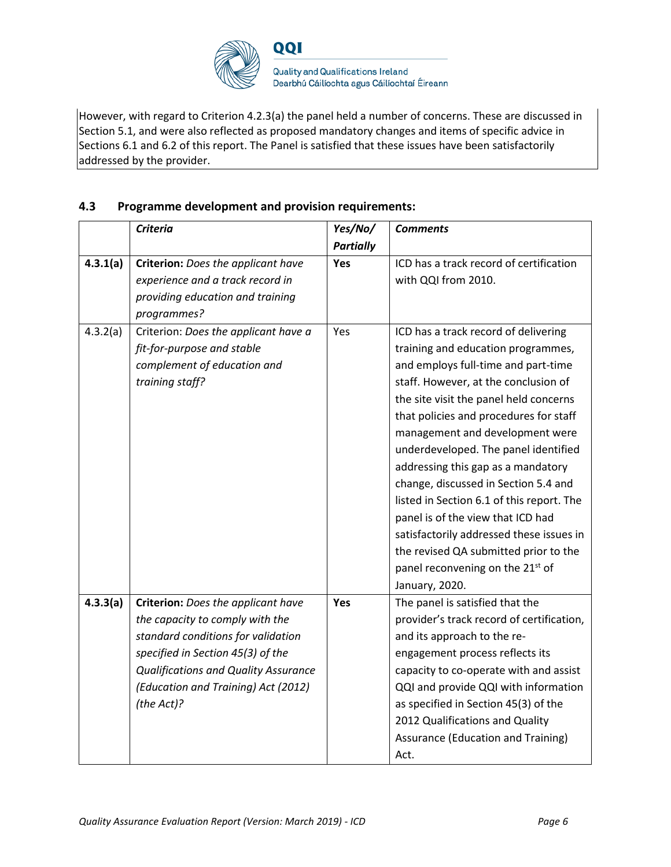

However, with regard to Criterion 4.2.3(a) the panel held a number of concerns. These are discussed in Section 5.1, and were also reflected as proposed mandatory changes and items of specific advice in Sections 6.1 and 6.2 of this report. The Panel is satisfied that these issues have been satisfactorily addressed by the provider.

### **4.3 Programme development and provision requirements:**

|          | <b>Criteria</b>                             | Yes/No/          | <b>Comments</b>                              |
|----------|---------------------------------------------|------------------|----------------------------------------------|
|          |                                             | <b>Partially</b> |                                              |
| 4.3.1(a) | Criterion: Does the applicant have          | Yes              | ICD has a track record of certification      |
|          | experience and a track record in            |                  | with QQI from 2010.                          |
|          | providing education and training            |                  |                                              |
|          | programmes?                                 |                  |                                              |
| 4.3.2(a) | Criterion: Does the applicant have a        | Yes              | ICD has a track record of delivering         |
|          | fit-for-purpose and stable                  |                  | training and education programmes,           |
|          | complement of education and                 |                  | and employs full-time and part-time          |
|          | training staff?                             |                  | staff. However, at the conclusion of         |
|          |                                             |                  | the site visit the panel held concerns       |
|          |                                             |                  | that policies and procedures for staff       |
|          |                                             |                  | management and development were              |
|          |                                             |                  | underdeveloped. The panel identified         |
|          |                                             |                  | addressing this gap as a mandatory           |
|          |                                             |                  | change, discussed in Section 5.4 and         |
|          |                                             |                  | listed in Section 6.1 of this report. The    |
|          |                                             |                  | panel is of the view that ICD had            |
|          |                                             |                  | satisfactorily addressed these issues in     |
|          |                                             |                  | the revised QA submitted prior to the        |
|          |                                             |                  | panel reconvening on the 21 <sup>st</sup> of |
|          |                                             |                  | January, 2020.                               |
| 4.3.3(a) | Criterion: Does the applicant have          | Yes              | The panel is satisfied that the              |
|          | the capacity to comply with the             |                  | provider's track record of certification,    |
|          | standard conditions for validation          |                  | and its approach to the re-                  |
|          | specified in Section 45(3) of the           |                  | engagement process reflects its              |
|          | <b>Qualifications and Quality Assurance</b> |                  | capacity to co-operate with and assist       |
|          | (Education and Training) Act (2012)         |                  | QQI and provide QQI with information         |
|          | (the Act)?                                  |                  | as specified in Section 45(3) of the         |
|          |                                             |                  | 2012 Qualifications and Quality              |
|          |                                             |                  | Assurance (Education and Training)           |
|          |                                             |                  | Act.                                         |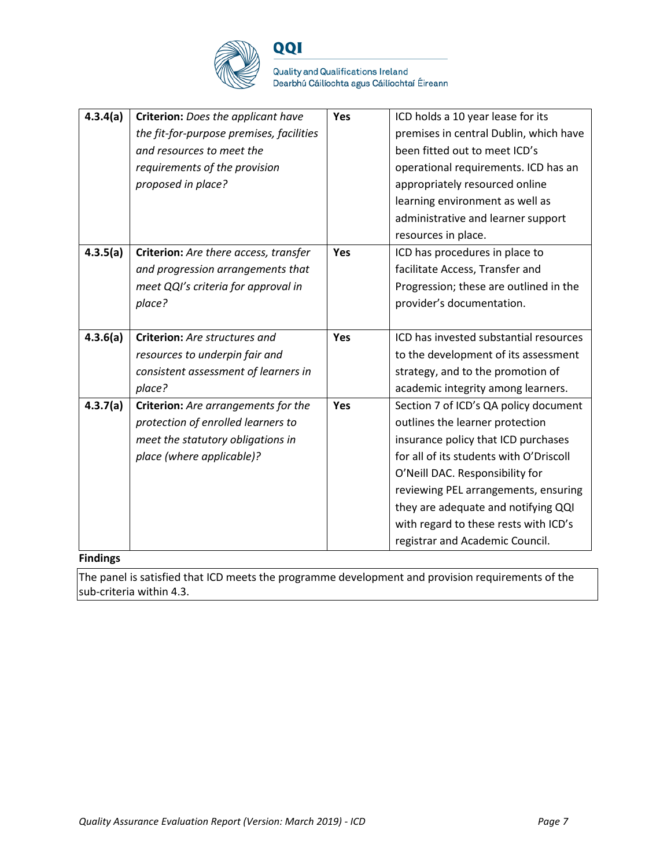

**Quality and Qualifications Ireland** Dearbhú Cáilíochta agus Cáilíochtaí Éireann

| 4.3.4(a) | Criterion: Does the applicant have       | Yes | ICD holds a 10 year lease for its       |
|----------|------------------------------------------|-----|-----------------------------------------|
|          | the fit-for-purpose premises, facilities |     | premises in central Dublin, which have  |
|          | and resources to meet the                |     | been fitted out to meet ICD's           |
|          | requirements of the provision            |     | operational requirements. ICD has an    |
|          | proposed in place?                       |     | appropriately resourced online          |
|          |                                          |     | learning environment as well as         |
|          |                                          |     | administrative and learner support      |
|          |                                          |     | resources in place.                     |
| 4.3.5(a) | Criterion: Are there access, transfer    | Yes | ICD has procedures in place to          |
|          | and progression arrangements that        |     | facilitate Access, Transfer and         |
|          | meet QQI's criteria for approval in      |     | Progression; these are outlined in the  |
|          | place?                                   |     | provider's documentation.               |
|          |                                          |     |                                         |
| 4.3.6(a) | Criterion: Are structures and            | Yes | ICD has invested substantial resources  |
|          | resources to underpin fair and           |     | to the development of its assessment    |
|          | consistent assessment of learners in     |     | strategy, and to the promotion of       |
|          | place?                                   |     | academic integrity among learners.      |
| 4.3.7(a) | Criterion: Are arrangements for the      | Yes | Section 7 of ICD's QA policy document   |
|          | protection of enrolled learners to       |     | outlines the learner protection         |
|          | meet the statutory obligations in        |     | insurance policy that ICD purchases     |
|          | place (where applicable)?                |     | for all of its students with O'Driscoll |
|          |                                          |     | O'Neill DAC. Responsibility for         |
|          |                                          |     | reviewing PEL arrangements, ensuring    |
|          |                                          |     | they are adequate and notifying QQI     |
|          |                                          |     | with regard to these rests with ICD's   |
|          |                                          |     | registrar and Academic Council.         |

#### **Findings**

The panel is satisfied that ICD meets the programme development and provision requirements of the sub-criteria within 4.3.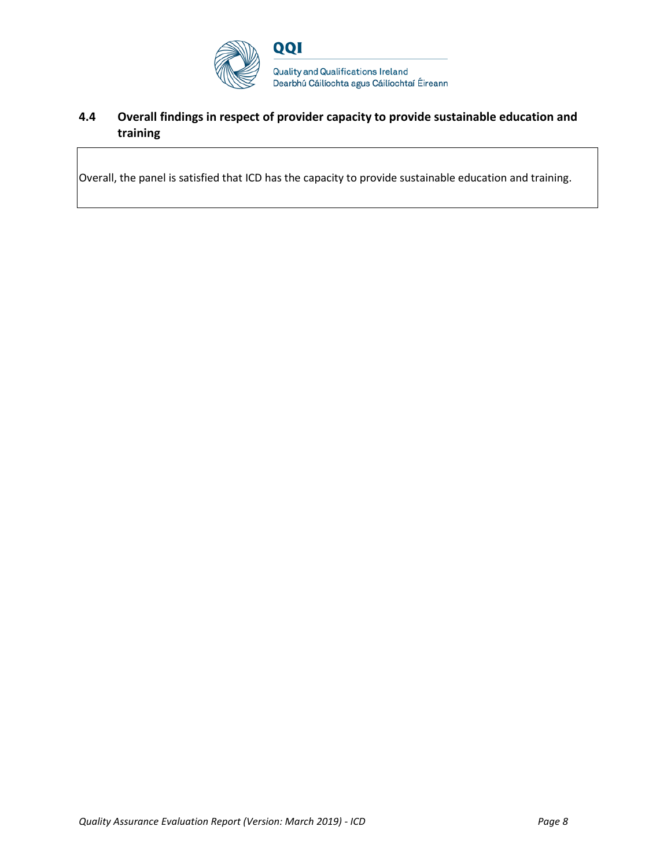

### **4.4 Overall findings in respect of provider capacity to provide sustainable education and training**

Overall, the panel is satisfied that ICD has the capacity to provide sustainable education and training.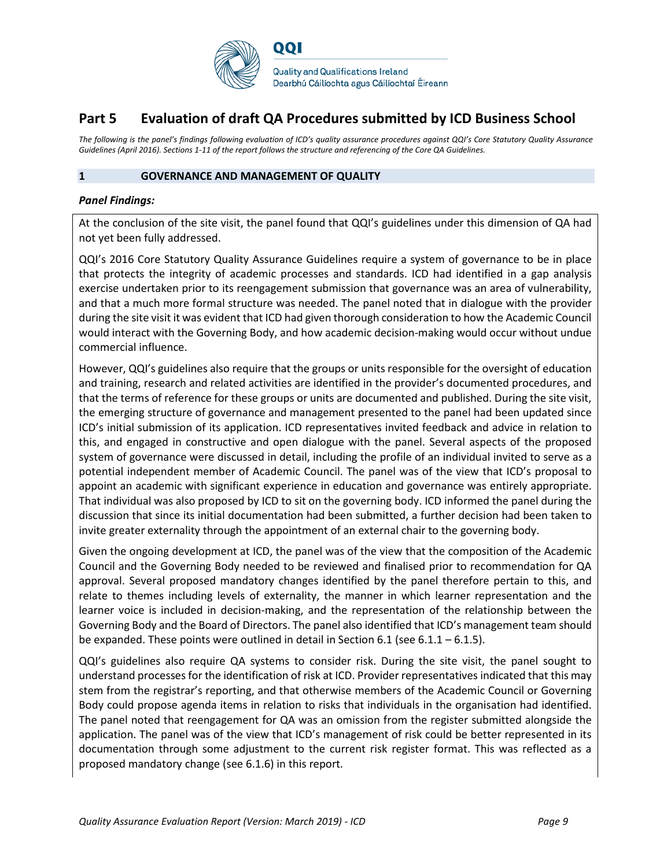

# **Part 5 Evaluation of draft QA Procedures submitted by ICD Business School**

*The following is the panel's findings following evaluation of ICD's quality assurance procedures against QQI's Core Statutory Quality Assurance Guidelines (April 2016). Sections 1-11 of the report follows the structure and referencing of the Core QA Guidelines.* 

#### **1 GOVERNANCE AND MANAGEMENT OF QUALITY**

#### *Panel Findings:*

At the conclusion of the site visit, the panel found that QQI's guidelines under this dimension of QA had not yet been fully addressed.

QQI's 2016 Core Statutory Quality Assurance Guidelines require a system of governance to be in place that protects the integrity of academic processes and standards. ICD had identified in a gap analysis exercise undertaken prior to its reengagement submission that governance was an area of vulnerability, and that a much more formal structure was needed. The panel noted that in dialogue with the provider during the site visit it was evident that ICD had given thorough consideration to how the Academic Council would interact with the Governing Body, and how academic decision-making would occur without undue commercial influence.

However, QQI's guidelines also require that the groups or units responsible for the oversight of education and training, research and related activities are identified in the provider's documented procedures, and that the terms of reference for these groups or units are documented and published. During the site visit, the emerging structure of governance and management presented to the panel had been updated since ICD's initial submission of its application. ICD representatives invited feedback and advice in relation to this, and engaged in constructive and open dialogue with the panel. Several aspects of the proposed system of governance were discussed in detail, including the profile of an individual invited to serve as a potential independent member of Academic Council. The panel was of the view that ICD's proposal to appoint an academic with significant experience in education and governance was entirely appropriate. That individual was also proposed by ICD to sit on the governing body. ICD informed the panel during the discussion that since its initial documentation had been submitted, a further decision had been taken to invite greater externality through the appointment of an external chair to the governing body.

Given the ongoing development at ICD, the panel was of the view that the composition of the Academic Council and the Governing Body needed to be reviewed and finalised prior to recommendation for QA approval. Several proposed mandatory changes identified by the panel therefore pertain to this, and relate to themes including levels of externality, the manner in which learner representation and the learner voice is included in decision-making, and the representation of the relationship between the Governing Body and the Board of Directors. The panel also identified that ICD's management team should be expanded. These points were outlined in detail in Section 6.1 (see 6.1.1 – 6.1.5).

QQI's guidelines also require QA systems to consider risk. During the site visit, the panel sought to understand processes for the identification of risk at ICD. Provider representatives indicated that this may stem from the registrar's reporting, and that otherwise members of the Academic Council or Governing Body could propose agenda items in relation to risks that individuals in the organisation had identified. The panel noted that reengagement for QA was an omission from the register submitted alongside the application. The panel was of the view that ICD's management of risk could be better represented in its documentation through some adjustment to the current risk register format. This was reflected as a proposed mandatory change (see 6.1.6) in this report.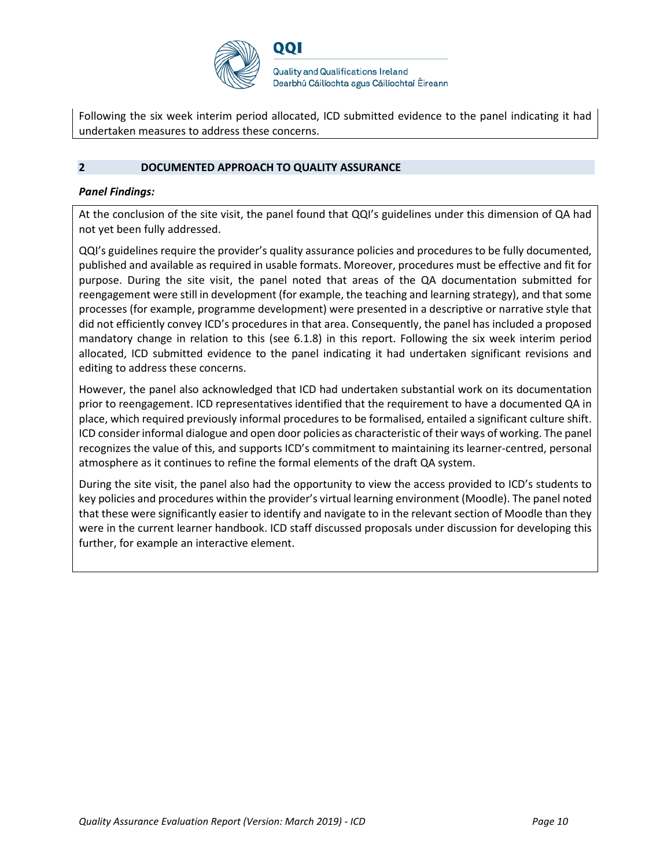

Following the six week interim period allocated, ICD submitted evidence to the panel indicating it had undertaken measures to address these concerns.

#### **2 DOCUMENTED APPROACH TO QUALITY ASSURANCE**

#### *Panel Findings:*

At the conclusion of the site visit, the panel found that QQI's guidelines under this dimension of QA had not yet been fully addressed.

QQI's guidelines require the provider's quality assurance policies and procedures to be fully documented, published and available as required in usable formats. Moreover, procedures must be effective and fit for purpose. During the site visit, the panel noted that areas of the QA documentation submitted for reengagement were still in development (for example, the teaching and learning strategy), and that some processes (for example, programme development) were presented in a descriptive or narrative style that did not efficiently convey ICD's procedures in that area. Consequently, the panel has included a proposed mandatory change in relation to this (see 6.1.8) in this report. Following the six week interim period allocated, ICD submitted evidence to the panel indicating it had undertaken significant revisions and editing to address these concerns.

However, the panel also acknowledged that ICD had undertaken substantial work on its documentation prior to reengagement. ICD representatives identified that the requirement to have a documented QA in place, which required previously informal procedures to be formalised, entailed a significant culture shift. ICD considerinformal dialogue and open door policies as characteristic of their ways of working. The panel recognizes the value of this, and supports ICD's commitment to maintaining its learner-centred, personal atmosphere as it continues to refine the formal elements of the draft QA system.

During the site visit, the panel also had the opportunity to view the access provided to ICD's students to key policies and procedures within the provider's virtual learning environment (Moodle). The panel noted that these were significantly easier to identify and navigate to in the relevant section of Moodle than they were in the current learner handbook. ICD staff discussed proposals under discussion for developing this further, for example an interactive element.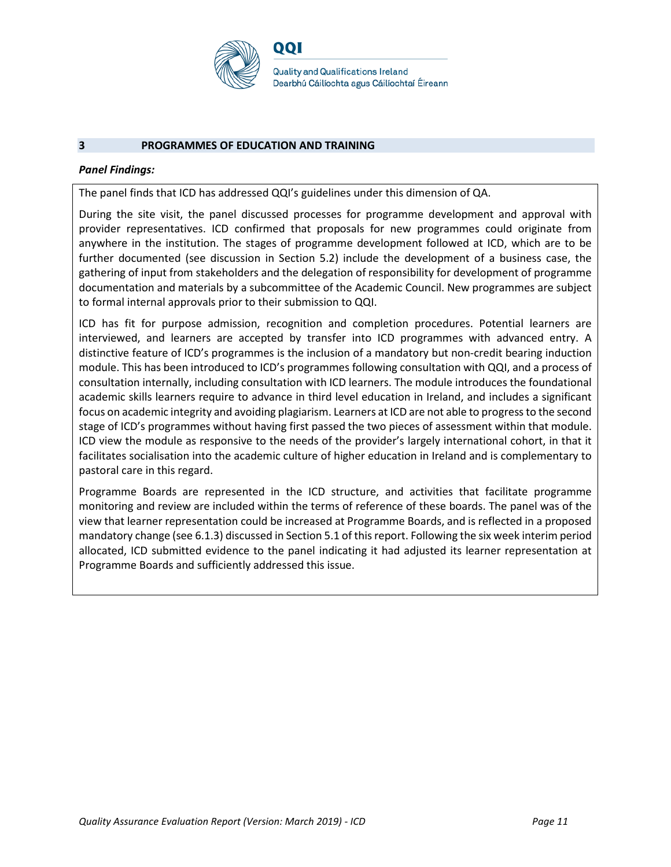

#### **3 PROGRAMMES OF EDUCATION AND TRAINING**

#### *Panel Findings:*

The panel finds that ICD has addressed QQI's guidelines under this dimension of QA.

During the site visit, the panel discussed processes for programme development and approval with provider representatives. ICD confirmed that proposals for new programmes could originate from anywhere in the institution. The stages of programme development followed at ICD, which are to be further documented (see discussion in Section 5.2) include the development of a business case, the gathering of input from stakeholders and the delegation of responsibility for development of programme documentation and materials by a subcommittee of the Academic Council. New programmes are subject to formal internal approvals prior to their submission to QQI.

ICD has fit for purpose admission, recognition and completion procedures. Potential learners are interviewed, and learners are accepted by transfer into ICD programmes with advanced entry. A distinctive feature of ICD's programmes is the inclusion of a mandatory but non-credit bearing induction module. This has been introduced to ICD's programmes following consultation with QQI, and a process of consultation internally, including consultation with ICD learners. The module introduces the foundational academic skills learners require to advance in third level education in Ireland, and includes a significant focus on academic integrity and avoiding plagiarism. Learners at ICD are not able to progress to the second stage of ICD's programmes without having first passed the two pieces of assessment within that module. ICD view the module as responsive to the needs of the provider's largely international cohort, in that it facilitates socialisation into the academic culture of higher education in Ireland and is complementary to pastoral care in this regard.

Programme Boards are represented in the ICD structure, and activities that facilitate programme monitoring and review are included within the terms of reference of these boards. The panel was of the view that learner representation could be increased at Programme Boards, and is reflected in a proposed mandatory change (see 6.1.3) discussed in Section 5.1 of this report. Following the six week interim period allocated, ICD submitted evidence to the panel indicating it had adjusted its learner representation at Programme Boards and sufficiently addressed this issue.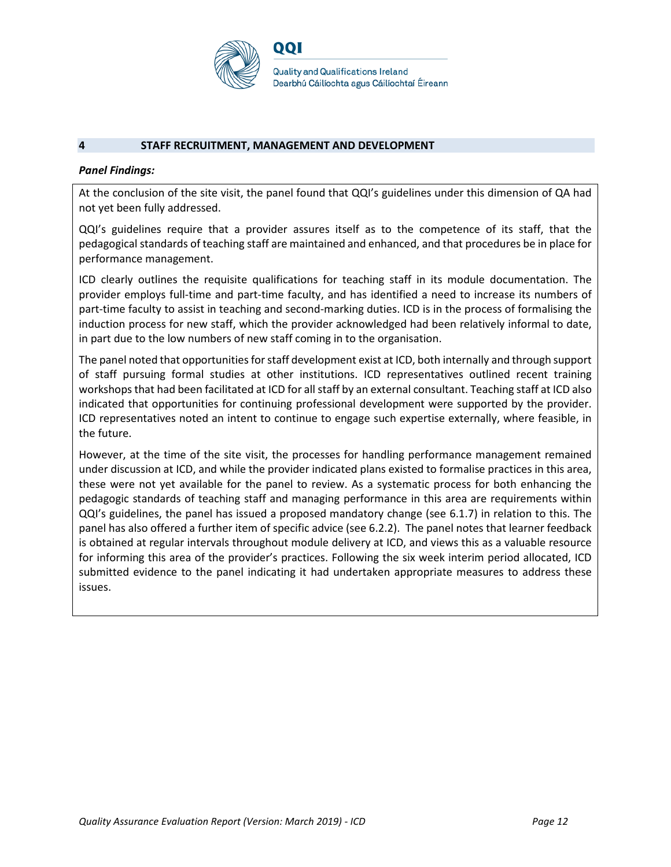

#### **4 STAFF RECRUITMENT, MANAGEMENT AND DEVELOPMENT**

#### *Panel Findings:*

At the conclusion of the site visit, the panel found that QQI's guidelines under this dimension of QA had not yet been fully addressed.

QQI's guidelines require that a provider assures itself as to the competence of its staff, that the pedagogical standards of teaching staff are maintained and enhanced, and that procedures be in place for performance management.

ICD clearly outlines the requisite qualifications for teaching staff in its module documentation. The provider employs full-time and part-time faculty, and has identified a need to increase its numbers of part-time faculty to assist in teaching and second-marking duties. ICD is in the process of formalising the induction process for new staff, which the provider acknowledged had been relatively informal to date, in part due to the low numbers of new staff coming in to the organisation.

The panel noted that opportunities for staff development exist at ICD, both internally and through support of staff pursuing formal studies at other institutions. ICD representatives outlined recent training workshops that had been facilitated at ICD for all staff by an external consultant. Teaching staff at ICD also indicated that opportunities for continuing professional development were supported by the provider. ICD representatives noted an intent to continue to engage such expertise externally, where feasible, in the future.

However, at the time of the site visit, the processes for handling performance management remained under discussion at ICD, and while the provider indicated plans existed to formalise practices in this area, these were not yet available for the panel to review. As a systematic process for both enhancing the pedagogic standards of teaching staff and managing performance in this area are requirements within QQI's guidelines, the panel has issued a proposed mandatory change (see 6.1.7) in relation to this. The panel has also offered a further item of specific advice (see 6.2.2). The panel notes that learner feedback is obtained at regular intervals throughout module delivery at ICD, and views this as a valuable resource for informing this area of the provider's practices. Following the six week interim period allocated, ICD submitted evidence to the panel indicating it had undertaken appropriate measures to address these issues.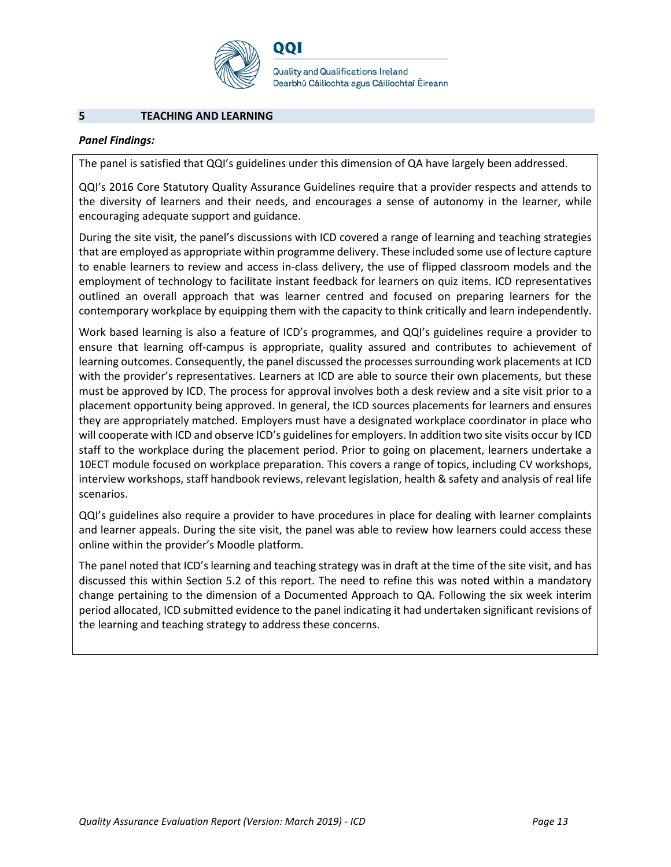

**Quality and Qualifications Ireland** Dearbhú Cáilíochta agus Cáilíochtaí Éireann

#### **5 TEACHING AND LEARNING**

#### *Panel Findings:*

The panel is satisfied that QQI's guidelines under this dimension of QA have largely been addressed.

QQI's 2016 Core Statutory Quality Assurance Guidelines require that a provider respects and attends to the diversity of learners and their needs, and encourages a sense of autonomy in the learner, while encouraging adequate support and guidance.

During the site visit, the panel's discussions with ICD covered a range of learning and teaching strategies that are employed as appropriate within programme delivery. These included some use of lecture capture to enable learners to review and access in-class delivery, the use of flipped classroom models and the employment of technology to facilitate instant feedback for learners on quiz items. ICD representatives outlined an overall approach that was learner centred and focused on preparing learners for the contemporary workplace by equipping them with the capacity to think critically and learn independently.

Work based learning is also a feature of ICD's programmes, and QQI's guidelines require a provider to ensure that learning off-campus is appropriate, quality assured and contributes to achievement of learning outcomes. Consequently, the panel discussed the processes surrounding work placements at ICD with the provider's representatives. Learners at ICD are able to source their own placements, but these must be approved by ICD. The process for approval involves both a desk review and a site visit prior to a placement opportunity being approved. In general, the ICD sources placements for learners and ensures they are appropriately matched. Employers must have a designated workplace coordinator in place who will cooperate with ICD and observe ICD's guidelines for employers. In addition two site visits occur by ICD staff to the workplace during the placement period. Prior to going on placement, learners undertake a 10ECT module focused on workplace preparation. This covers a range of topics, including CV workshops, interview workshops, staff handbook reviews, relevant legislation, health & safety and analysis of real life scenarios.

QQI's guidelines also require a provider to have procedures in place for dealing with learner complaints and learner appeals. During the site visit, the panel was able to review how learners could access these online within the provider's Moodle platform.

The panel noted that ICD's learning and teaching strategy was in draft at the time of the site visit, and has discussed this within Section 5.2 of this report. The need to refine this was noted within a mandatory change pertaining to the dimension of a Documented Approach to QA. Following the six week interim period allocated, ICD submitted evidence to the panel indicating it had undertaken significant revisions of the learning and teaching strategy to address these concerns.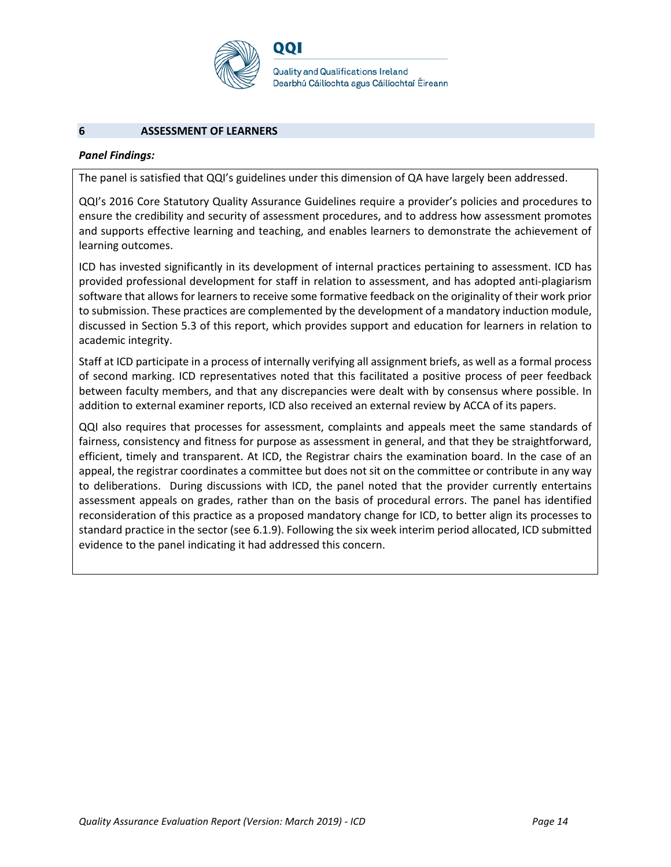

**Quality and Qualifications Ireland** Dearbhú Cáilíochta agus Cáilíochtaí Éireann

#### **6 ASSESSMENT OF LEARNERS**

#### *Panel Findings:*

The panel is satisfied that QQI's guidelines under this dimension of QA have largely been addressed.

QQI's 2016 Core Statutory Quality Assurance Guidelines require a provider's policies and procedures to ensure the credibility and security of assessment procedures, and to address how assessment promotes and supports effective learning and teaching, and enables learners to demonstrate the achievement of learning outcomes.

ICD has invested significantly in its development of internal practices pertaining to assessment. ICD has provided professional development for staff in relation to assessment, and has adopted anti-plagiarism software that allows for learners to receive some formative feedback on the originality of their work prior to submission. These practices are complemented by the development of a mandatory induction module, discussed in Section 5.3 of this report, which provides support and education for learners in relation to academic integrity.

Staff at ICD participate in a process of internally verifying all assignment briefs, as well as a formal process of second marking. ICD representatives noted that this facilitated a positive process of peer feedback between faculty members, and that any discrepancies were dealt with by consensus where possible. In addition to external examiner reports, ICD also received an external review by ACCA of its papers.

QQI also requires that processes for assessment, complaints and appeals meet the same standards of fairness, consistency and fitness for purpose as assessment in general, and that they be straightforward, efficient, timely and transparent. At ICD, the Registrar chairs the examination board. In the case of an appeal, the registrar coordinates a committee but does not sit on the committee or contribute in any way to deliberations. During discussions with ICD, the panel noted that the provider currently entertains assessment appeals on grades, rather than on the basis of procedural errors. The panel has identified reconsideration of this practice as a proposed mandatory change for ICD, to better align its processes to standard practice in the sector (see 6.1.9). Following the six week interim period allocated, ICD submitted evidence to the panel indicating it had addressed this concern.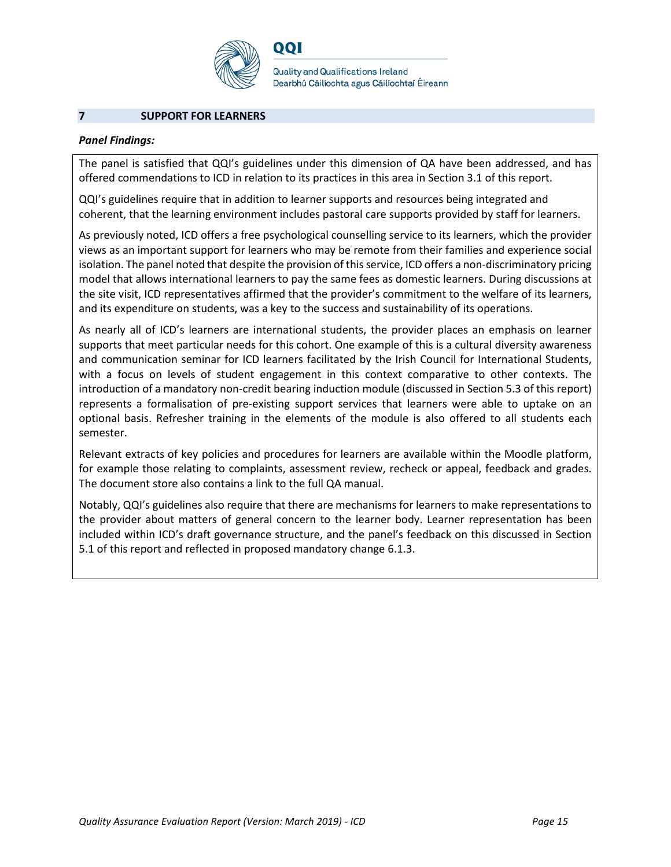

**Quality and Qualifications Ireland** Dearbhú Cáilíochta agus Cáilíochtaí Éireann

#### **7 SUPPORT FOR LEARNERS**

#### *Panel Findings:*

The panel is satisfied that QQI's guidelines under this dimension of QA have been addressed, and has offered commendations to ICD in relation to its practices in this area in Section 3.1 of this report.

QQI's guidelines require that in addition to learner supports and resources being integrated and coherent, that the learning environment includes pastoral care supports provided by staff for learners.

As previously noted, ICD offers a free psychological counselling service to its learners, which the provider views as an important support for learners who may be remote from their families and experience social isolation. The panel noted that despite the provision of this service, ICD offers a non-discriminatory pricing model that allows international learners to pay the same fees as domestic learners. During discussions at the site visit, ICD representatives affirmed that the provider's commitment to the welfare of its learners, and its expenditure on students, was a key to the success and sustainability of its operations.

As nearly all of ICD's learners are international students, the provider places an emphasis on learner supports that meet particular needs for this cohort. One example of this is a cultural diversity awareness and communication seminar for ICD learners facilitated by the Irish Council for International Students, with a focus on levels of student engagement in this context comparative to other contexts. The introduction of a mandatory non-credit bearing induction module (discussed in Section 5.3 of this report) represents a formalisation of pre-existing support services that learners were able to uptake on an optional basis. Refresher training in the elements of the module is also offered to all students each semester.

Relevant extracts of key policies and procedures for learners are available within the Moodle platform, for example those relating to complaints, assessment review, recheck or appeal, feedback and grades. The document store also contains a link to the full QA manual.

Notably, QQI's guidelines also require that there are mechanisms for learners to make representations to the provider about matters of general concern to the learner body. Learner representation has been included within ICD's draft governance structure, and the panel's feedback on this discussed in Section 5.1 of this report and reflected in proposed mandatory change 6.1.3.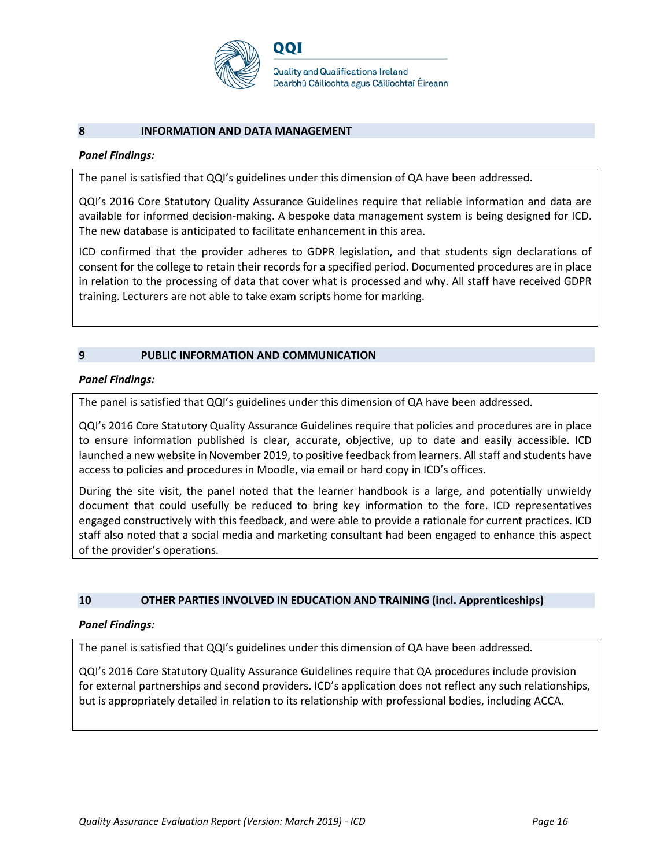

#### **8 INFORMATION AND DATA MANAGEMENT**

#### *Panel Findings:*

The panel is satisfied that QQI's guidelines under this dimension of QA have been addressed.

QQI's 2016 Core Statutory Quality Assurance Guidelines require that reliable information and data are available for informed decision-making. A bespoke data management system is being designed for ICD. The new database is anticipated to facilitate enhancement in this area.

ICD confirmed that the provider adheres to GDPR legislation, and that students sign declarations of consent for the college to retain their records for a specified period. Documented procedures are in place in relation to the processing of data that cover what is processed and why. All staff have received GDPR training. Lecturers are not able to take exam scripts home for marking.

#### **9 PUBLIC INFORMATION AND COMMUNICATION**

#### *Panel Findings:*

The panel is satisfied that QQI's guidelines under this dimension of QA have been addressed.

QQI's 2016 Core Statutory Quality Assurance Guidelines require that policies and procedures are in place to ensure information published is clear, accurate, objective, up to date and easily accessible. ICD launched a new website in November 2019, to positive feedback from learners. All staff and students have access to policies and procedures in Moodle, via email or hard copy in ICD's offices.

During the site visit, the panel noted that the learner handbook is a large, and potentially unwieldy document that could usefully be reduced to bring key information to the fore. ICD representatives engaged constructively with this feedback, and were able to provide a rationale for current practices. ICD staff also noted that a social media and marketing consultant had been engaged to enhance this aspect of the provider's operations.

#### **10 OTHER PARTIES INVOLVED IN EDUCATION AND TRAINING (incl. Apprenticeships)**

#### *Panel Findings:*

The panel is satisfied that QQI's guidelines under this dimension of QA have been addressed.

QQI's 2016 Core Statutory Quality Assurance Guidelines require that QA procedures include provision for external partnerships and second providers. ICD's application does not reflect any such relationships, but is appropriately detailed in relation to its relationship with professional bodies, including ACCA.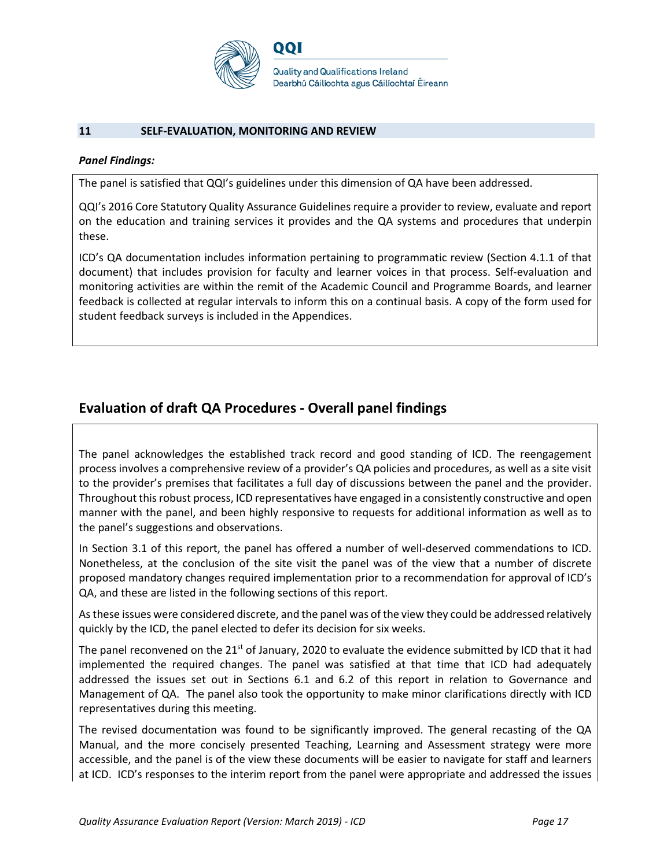

#### **11 SELF-EVALUATION, MONITORING AND REVIEW**

#### *Panel Findings:*

The panel is satisfied that QQI's guidelines under this dimension of QA have been addressed.

QQI's 2016 Core Statutory Quality Assurance Guidelines require a provider to review, evaluate and report on the education and training services it provides and the QA systems and procedures that underpin these.

ICD's QA documentation includes information pertaining to programmatic review (Section 4.1.1 of that document) that includes provision for faculty and learner voices in that process. Self-evaluation and monitoring activities are within the remit of the Academic Council and Programme Boards, and learner feedback is collected at regular intervals to inform this on a continual basis. A copy of the form used for student feedback surveys is included in the Appendices.

### **Evaluation of draft QA Procedures - Overall panel findings**

The panel acknowledges the established track record and good standing of ICD. The reengagement process involves a comprehensive review of a provider's QA policies and procedures, as well as a site visit to the provider's premises that facilitates a full day of discussions between the panel and the provider. Throughout this robust process, ICD representatives have engaged in a consistently constructive and open manner with the panel, and been highly responsive to requests for additional information as well as to the panel's suggestions and observations.

In Section 3.1 of this report, the panel has offered a number of well-deserved commendations to ICD. Nonetheless, at the conclusion of the site visit the panel was of the view that a number of discrete proposed mandatory changes required implementation prior to a recommendation for approval of ICD's QA, and these are listed in the following sections of this report.

As these issues were considered discrete, and the panel was of the view they could be addressed relatively quickly by the ICD, the panel elected to defer its decision for six weeks.

The panel reconvened on the 21<sup>st</sup> of January, 2020 to evaluate the evidence submitted by ICD that it had implemented the required changes. The panel was satisfied at that time that ICD had adequately addressed the issues set out in Sections 6.1 and 6.2 of this report in relation to Governance and Management of QA. The panel also took the opportunity to make minor clarifications directly with ICD representatives during this meeting.

The revised documentation was found to be significantly improved. The general recasting of the QA Manual, and the more concisely presented Teaching, Learning and Assessment strategy were more accessible, and the panel is of the view these documents will be easier to navigate for staff and learners at ICD. ICD's responses to the interim report from the panel were appropriate and addressed the issues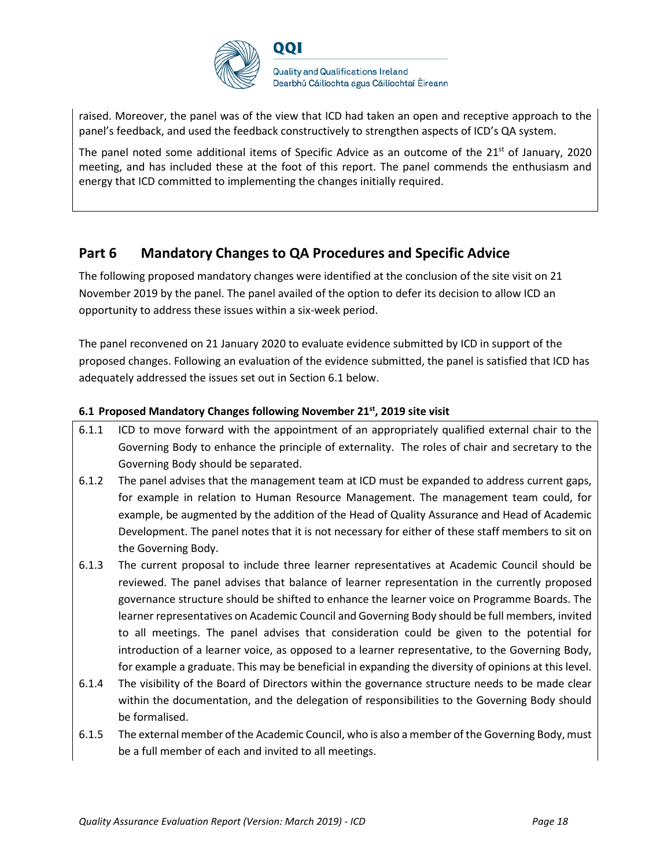

raised. Moreover, the panel was of the view that ICD had taken an open and receptive approach to the panel's feedback, and used the feedback constructively to strengthen aspects of ICD's QA system.

The panel noted some additional items of Specific Advice as an outcome of the  $21<sup>st</sup>$  of January, 2020 meeting, and has included these at the foot of this report. The panel commends the enthusiasm and energy that ICD committed to implementing the changes initially required.

## **Part 6 Mandatory Changes to QA Procedures and Specific Advice**

The following proposed mandatory changes were identified at the conclusion of the site visit on 21 November 2019 by the panel. The panel availed of the option to defer its decision to allow ICD an opportunity to address these issues within a six-week period.

The panel reconvened on 21 January 2020 to evaluate evidence submitted by ICD in support of the proposed changes. Following an evaluation of the evidence submitted, the panel is satisfied that ICD has adequately addressed the issues set out in Section 6.1 below.

#### **6.1 Proposed Mandatory Changes following November 21st, 2019 site visit**

- 6.1.1 ICD to move forward with the appointment of an appropriately qualified external chair to the Governing Body to enhance the principle of externality. The roles of chair and secretary to the Governing Body should be separated.
- 6.1.2 The panel advises that the management team at ICD must be expanded to address current gaps, for example in relation to Human Resource Management. The management team could, for example, be augmented by the addition of the Head of Quality Assurance and Head of Academic Development. The panel notes that it is not necessary for either of these staff members to sit on the Governing Body.
- 6.1.3 The current proposal to include three learner representatives at Academic Council should be reviewed. The panel advises that balance of learner representation in the currently proposed governance structure should be shifted to enhance the learner voice on Programme Boards. The learner representatives on Academic Council and Governing Body should be full members, invited to all meetings. The panel advises that consideration could be given to the potential for introduction of a learner voice, as opposed to a learner representative, to the Governing Body, for example a graduate. This may be beneficial in expanding the diversity of opinions at this level.
- 6.1.4 The visibility of the Board of Directors within the governance structure needs to be made clear within the documentation, and the delegation of responsibilities to the Governing Body should be formalised.
- 6.1.5 The external member of the Academic Council, who is also a member of the Governing Body, must be a full member of each and invited to all meetings.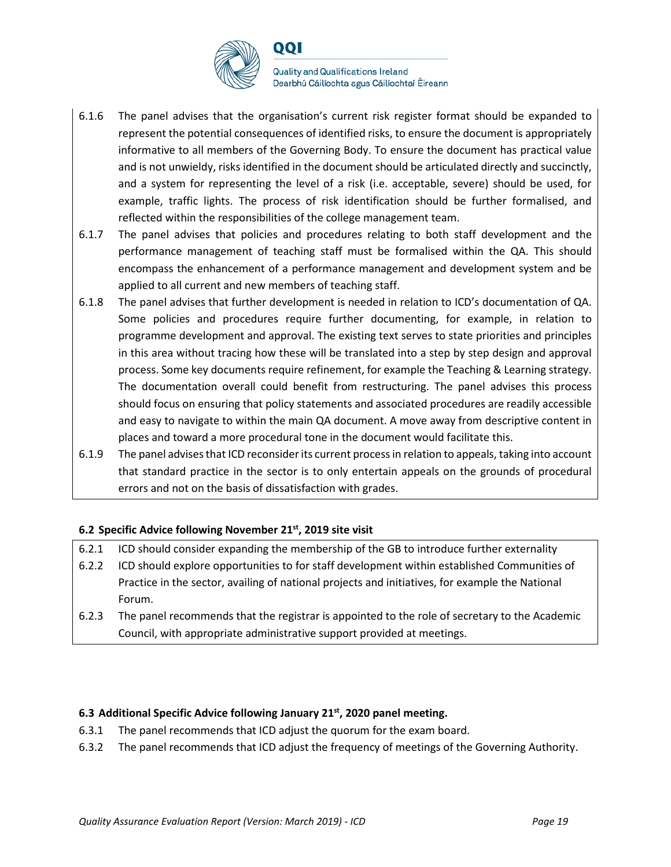

**Quality and Qualifications Ireland** Dearbhú Cáilíochta agus Cáilíochtaí Éireann

- 6.1.6 The panel advises that the organisation's current risk register format should be expanded to represent the potential consequences of identified risks, to ensure the document is appropriately informative to all members of the Governing Body. To ensure the document has practical value and is not unwieldy, risks identified in the document should be articulated directly and succinctly, and a system for representing the level of a risk (i.e. acceptable, severe) should be used, for example, traffic lights. The process of risk identification should be further formalised, and reflected within the responsibilities of the college management team.
- 6.1.7 The panel advises that policies and procedures relating to both staff development and the performance management of teaching staff must be formalised within the QA. This should encompass the enhancement of a performance management and development system and be applied to all current and new members of teaching staff.
- 6.1.8 The panel advises that further development is needed in relation to ICD's documentation of QA. Some policies and procedures require further documenting, for example, in relation to programme development and approval. The existing text serves to state priorities and principles in this area without tracing how these will be translated into a step by step design and approval process. Some key documents require refinement, for example the Teaching & Learning strategy. The documentation overall could benefit from restructuring. The panel advises this process should focus on ensuring that policy statements and associated procedures are readily accessible and easy to navigate to within the main QA document. A move away from descriptive content in places and toward a more procedural tone in the document would facilitate this.
- 6.1.9 The panel advisesthat ICD reconsider its current process in relation to appeals, taking into account that standard practice in the sector is to only entertain appeals on the grounds of procedural errors and not on the basis of dissatisfaction with grades.

### **6.2 Specific Advice following November 21st, 2019 site visit**

- 6.2.1 ICD should consider expanding the membership of the GB to introduce further externality
- 6.2.2 ICD should explore opportunities to for staff development within established Communities of Practice in the sector, availing of national projects and initiatives, for example the National Forum.
- 6.2.3 The panel recommends that the registrar is appointed to the role of secretary to the Academic Council, with appropriate administrative support provided at meetings.

#### **6.3 Additional Specific Advice following January 21st, 2020 panel meeting.**

- 6.3.1 The panel recommends that ICD adjust the quorum for the exam board.
- 6.3.2 The panel recommends that ICD adjust the frequency of meetings of the Governing Authority.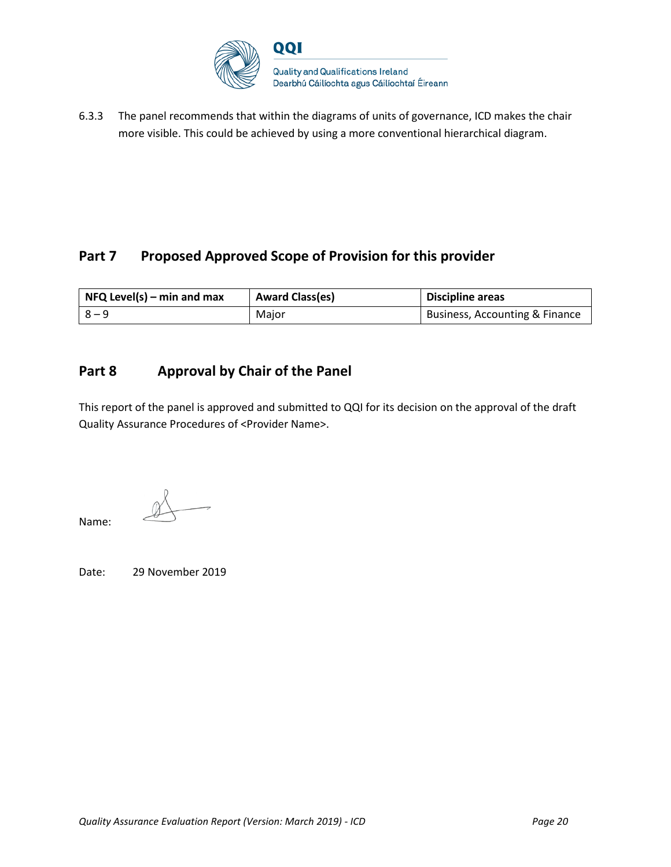

6.3.3 The panel recommends that within the diagrams of units of governance, ICD makes the chair more visible. This could be achieved by using a more conventional hierarchical diagram.

# Part 7 Proposed Approved Scope of Provision for this provider

| $NFA$ Level(s) – min and max | <b>Award Class(es)</b> | <b>Discipline areas</b>        |
|------------------------------|------------------------|--------------------------------|
| $R - 9$                      | Major                  | Business, Accounting & Finance |

# **Part 8 Approval by Chair of the Panel**

This report of the panel is approved and submitted to QQI for its decision on the approval of the draft Quality Assurance Procedures of <Provider Name>.

Name:

Date: 29 November 2019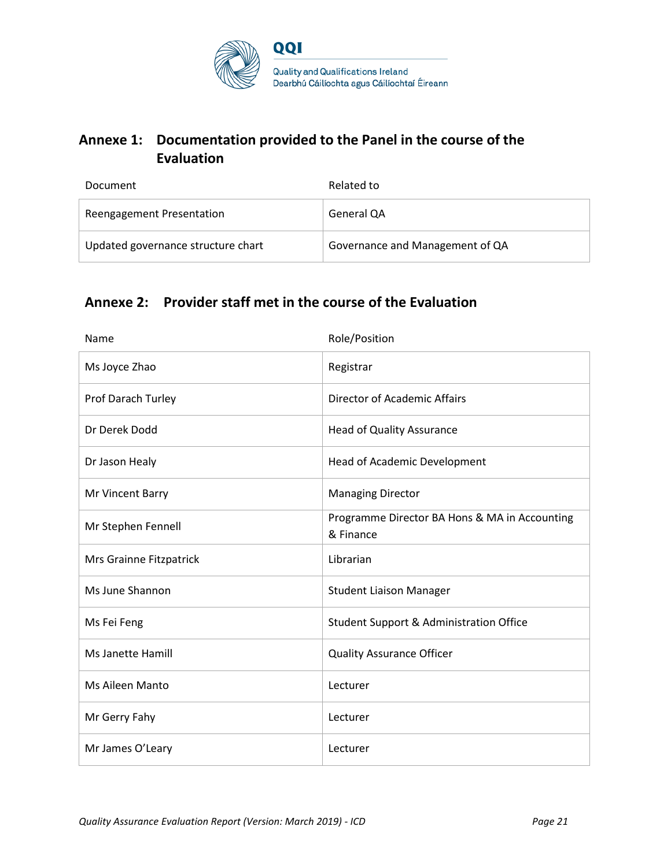

# **Annexe 1: Documentation provided to the Panel in the course of the Evaluation**

| Document                           | Related to                      |
|------------------------------------|---------------------------------|
| Reengagement Presentation          | General QA                      |
| Updated governance structure chart | Governance and Management of QA |

# **Annexe 2: Provider staff met in the course of the Evaluation**

| Name                     | Role/Position                                              |
|--------------------------|------------------------------------------------------------|
| Ms Joyce Zhao            | Registrar                                                  |
| Prof Darach Turley       | Director of Academic Affairs                               |
| Dr Derek Dodd            | <b>Head of Quality Assurance</b>                           |
| Dr Jason Healy           | Head of Academic Development                               |
| Mr Vincent Barry         | <b>Managing Director</b>                                   |
| Mr Stephen Fennell       | Programme Director BA Hons & MA in Accounting<br>& Finance |
| Mrs Grainne Fitzpatrick  | Librarian                                                  |
| Ms June Shannon          | <b>Student Liaison Manager</b>                             |
| Ms Fei Feng              | Student Support & Administration Office                    |
| <b>Ms Janette Hamill</b> | <b>Quality Assurance Officer</b>                           |
| <b>Ms Aileen Manto</b>   | Lecturer                                                   |
| Mr Gerry Fahy            | Lecturer                                                   |
| Mr James O'Leary         | Lecturer                                                   |